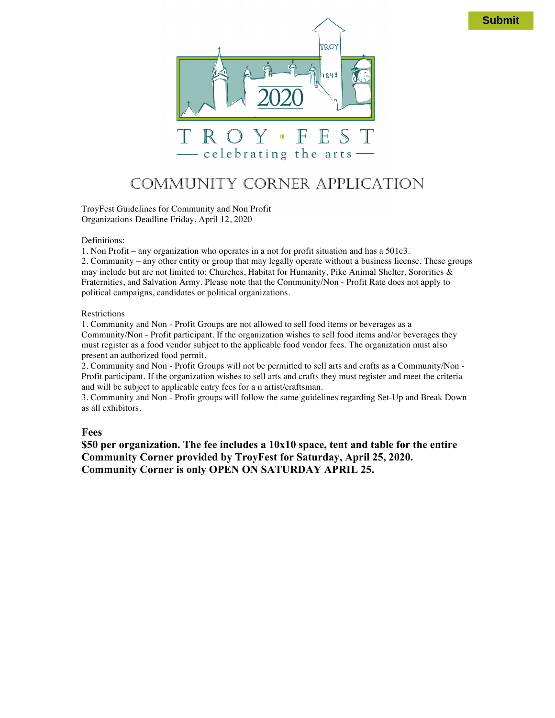

# COMMUNITY CORNER APPLICATION

TroyFest Guidelines for Community and Non Profit Organizations Deadline Friday, April 12, 2020

#### Definitions:

1. Non Profit – any organization who operates in a not for profit situation and has a 501c3.

2. Community – any other entity or group that may legally operate without a business license. These groups may include but are not limited to: Churches, Habitat for Humanity, Pike Animal Shelter, Sororities & Fraternities, and Salvation Army. Please note that the Community/Non - Profit Rate does not apply to political campaigns, candidates or political organizations.

#### Restrictions

1. Community and Non - Profit Groups are not allowed to sell food items or beverages as a Community/Non - Profit participant. If the organization wishes to sell food items and/or beverages they must register as a food vendor subject to the applicable food vendor fees. The organization must also present an authorized food permit.

2. Community and Non - Profit Groups will not be permitted to sell arts and crafts as a Community/Non - Profit participant. If the organization wishes to sell arts and crafts they must register and meet the criteria and will be subject to applicable entry fees for a n artist/craftsman.

3. Community and Non - Profit groups will follow the same guidelines regarding Set-Up and Break Down as all exhibitors.

#### **Fees**

**\$50 per organization. The fee includes a 10x10 space, tent and table for the entire Community Corner provided by TroyFest for Saturday, April 25, 2020. Community Corner is only OPEN ON SATURDAY APRIL 25.**